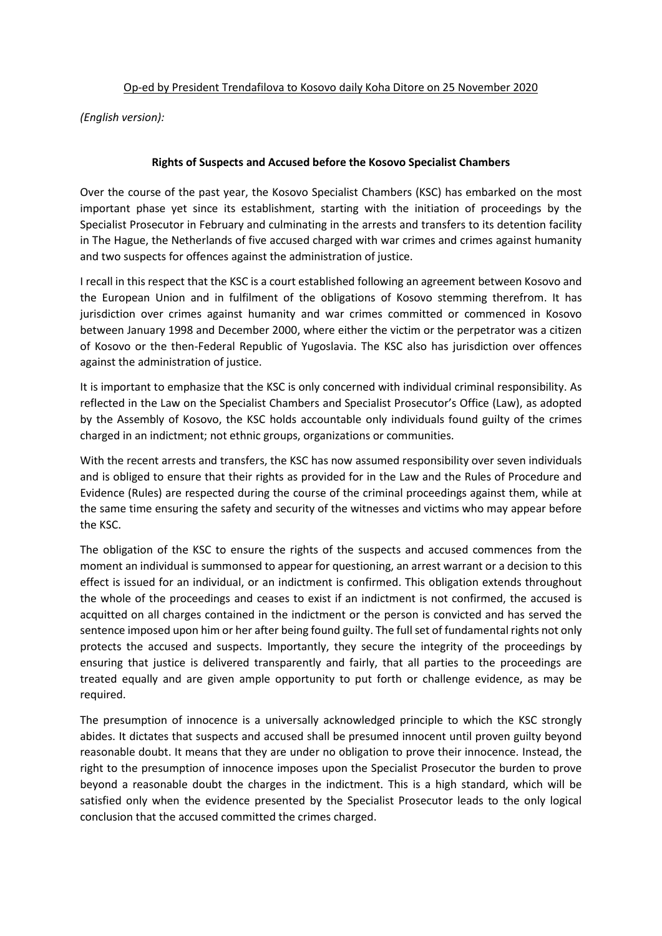## Op-ed by President Trendafilova to Kosovo daily Koha Ditore on 25 November 2020

*(English version):*

## **Rights of Suspects and Accused before the Kosovo Specialist Chambers**

Over the course of the past year, the Kosovo Specialist Chambers (KSC) has embarked on the most important phase yet since its establishment, starting with the initiation of proceedings by the Specialist Prosecutor in February and culminating in the arrests and transfers to its detention facility in The Hague, the Netherlands of five accused charged with war crimes and crimes against humanity and two suspects for offences against the administration of justice.

I recall in this respect that the KSC is a court established following an agreement between Kosovo and the European Union and in fulfilment of the obligations of Kosovo stemming therefrom. It has jurisdiction over crimes against humanity and war crimes committed or commenced in Kosovo between January 1998 and December 2000, where either the victim or the perpetrator was a citizen of Kosovo or the then-Federal Republic of Yugoslavia. The KSC also has jurisdiction over offences against the administration of justice.

It is important to emphasize that the KSC is only concerned with individual criminal responsibility. As reflected in the Law on the Specialist Chambers and Specialist Prosecutor's Office (Law), as adopted by the Assembly of Kosovo, the KSC holds accountable only individuals found guilty of the crimes charged in an indictment; not ethnic groups, organizations or communities.

With the recent arrests and transfers, the KSC has now assumed responsibility over seven individuals and is obliged to ensure that their rights as provided for in the Law and the Rules of Procedure and Evidence (Rules) are respected during the course of the criminal proceedings against them, while at the same time ensuring the safety and security of the witnesses and victims who may appear before the KSC.

The obligation of the KSC to ensure the rights of the suspects and accused commences from the moment an individual is summonsed to appear for questioning, an arrest warrant or a decision to this effect is issued for an individual, or an indictment is confirmed. This obligation extends throughout the whole of the proceedings and ceases to exist if an indictment is not confirmed, the accused is acquitted on all charges contained in the indictment or the person is convicted and has served the sentence imposed upon him or her after being found guilty. The full set of fundamental rights not only protects the accused and suspects. Importantly, they secure the integrity of the proceedings by ensuring that justice is delivered transparently and fairly, that all parties to the proceedings are treated equally and are given ample opportunity to put forth or challenge evidence, as may be required.

The presumption of innocence is a universally acknowledged principle to which the KSC strongly abides. It dictates that suspects and accused shall be presumed innocent until proven guilty beyond reasonable doubt. It means that they are under no obligation to prove their innocence. Instead, the right to the presumption of innocence imposes upon the Specialist Prosecutor the burden to prove beyond a reasonable doubt the charges in the indictment. This is a high standard, which will be satisfied only when the evidence presented by the Specialist Prosecutor leads to the only logical conclusion that the accused committed the crimes charged.